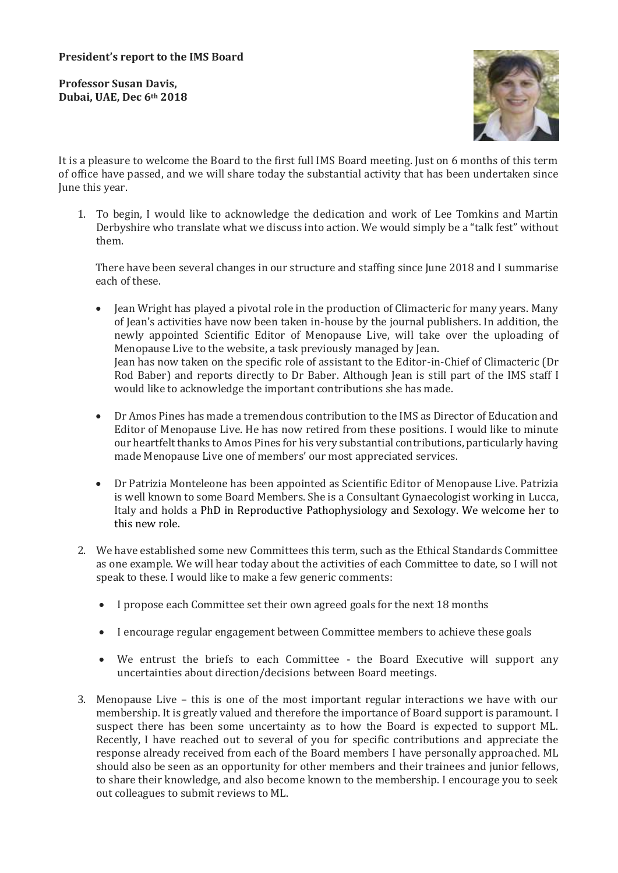**Professor Susan Davis, Dubai, UAE, Dec 6th 2018** 



It is a pleasure to welcome the Board to the first full IMS Board meeting. Just on 6 months of this term of office have passed, and we will share today the substantial activity that has been undertaken since June this year.

1. To begin, I would like to acknowledge the dedication and work of Lee Tomkins and Martin Derbyshire who translate what we discuss into action. We would simply be a "talk fest" without them.

There have been several changes in our structure and staffing since June 2018 and I summarise each of these.

- Jean Wright has played a pivotal role in the production of Climacteric for many years. Many of Jean's activities have now been taken in-house by the journal publishers. In addition, the newly appointed Scientific Editor of Menopause Live, will take over the uploading of Menopause Live to the website, a task previously managed by Jean. Jean has now taken on the specific role of assistant to the Editor-in-Chief of Climacteric (Dr Rod Baber) and reports directly to Dr Baber. Although Jean is still part of the IMS staff I would like to acknowledge the important contributions she has made.
- Dr Amos Pines has made a tremendous contribution to the IMS as Director of Education and Editor of Menopause Live. He has now retired from these positions. I would like to minute our heartfelt thanks to Amos Pines for his very substantial contributions, particularly having made Menopause Live one of members' our most appreciated services.
- Dr Patrizia Monteleone has been appointed as Scientific Editor of Menopause Live. Patrizia is well known to some Board Members. She is a Consultant Gynaecologist working in Lucca, Italy and holds a PhD in Reproductive Pathophysiology and Sexology. We welcome her to this new role.
- 2. We have established some new Committees this term, such as the Ethical Standards Committee as one example. We will hear today about the activities of each Committee to date, so I will not speak to these. I would like to make a few generic comments:
	- I propose each Committee set their own agreed goals for the next 18 months
	- I encourage regular engagement between Committee members to achieve these goals
	- We entrust the briefs to each Committee the Board Executive will support any uncertainties about direction/decisions between Board meetings.
- 3. Menopause Live this is one of the most important regular interactions we have with our membership. It is greatly valued and therefore the importance of Board support is paramount. I suspect there has been some uncertainty as to how the Board is expected to support ML. Recently, I have reached out to several of you for specific contributions and appreciate the response already received from each of the Board members I have personally approached. ML should also be seen as an opportunity for other members and their trainees and junior fellows, to share their knowledge, and also become known to the membership. I encourage you to seek out colleagues to submit reviews to ML.